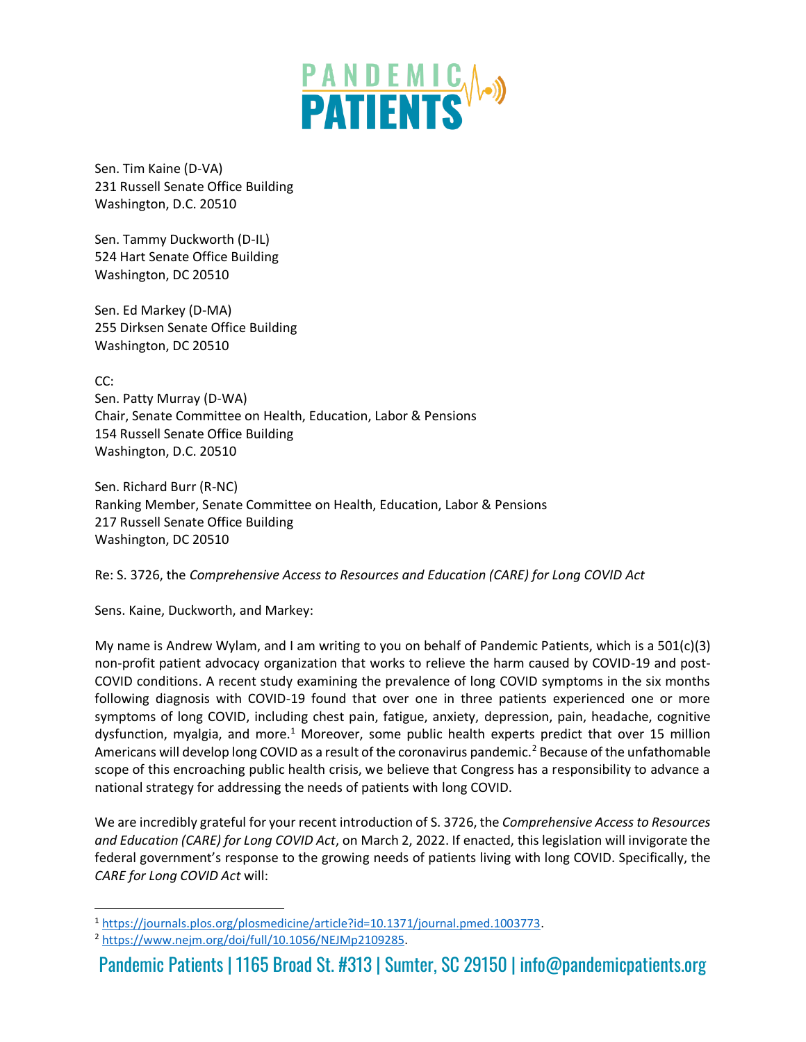

Sen. Tim Kaine (D-VA) 231 Russell Senate Office Building Washington, D.C. 20510

Sen. Tammy Duckworth (D-IL) 524 Hart Senate Office Building Washington, DC 20510

Sen. Ed Markey (D-MA) 255 Dirksen Senate Office Building Washington, DC 20510

CC: Sen. Patty Murray (D-WA) Chair, Senate Committee on Health, Education, Labor & Pensions 154 Russell Senate Office Building Washington, D.C. 20510

Sen. Richard Burr (R-NC) Ranking Member, Senate Committee on Health, Education, Labor & Pensions 217 Russell Senate Office Building Washington, DC 20510

## Re: S. 3726, the *Comprehensive Access to Resources and Education (CARE) for Long COVID Act*

Sens. Kaine, Duckworth, and Markey:

My name is Andrew Wylam, and I am writing to you on behalf of Pandemic Patients, which is a 501(c)(3) non-profit patient advocacy organization that works to relieve the harm caused by COVID-19 and post-COVID conditions. A recent study examining the prevalence of long COVID symptoms in the six months following diagnosis with COVID-19 found that over one in three patients experienced one or more symptoms of long COVID, including chest pain, fatigue, anxiety, depression, pain, headache, cognitive dysfunction, myalgia, and more.<sup>1</sup> Moreover, some public health experts predict that over 15 million Americans will develop long COVID as a result of the coronavirus pandemic.<sup>2</sup> Because of the unfathomable scope of this encroaching public health crisis, we believe that Congress has a responsibility to advance a national strategy for addressing the needs of patients with long COVID.

We are incredibly grateful for your recent introduction of S. 3726, the *Comprehensive Access to Resources and Education (CARE) for Long COVID Act*, on March 2, 2022. If enacted, this legislation will invigorate the federal government's response to the growing needs of patients living with long COVID. Specifically, the *CARE for Long COVID Act* will:

Pandemic Patients | 1165 Broad St. #313 | Sumter, SC 29150 | info@pandemicpatients.org

<sup>1</sup> [https://journals.plos.org/plosmedicine/article?id=10.1371/journal.pmed.1003773.](https://journals.plos.org/plosmedicine/article?id=10.1371/journal.pmed.1003773)

<sup>2</sup> [https://www.nejm.org/doi/full/10.1056/NEJMp2109285.](https://www.nejm.org/doi/full/10.1056/NEJMp2109285)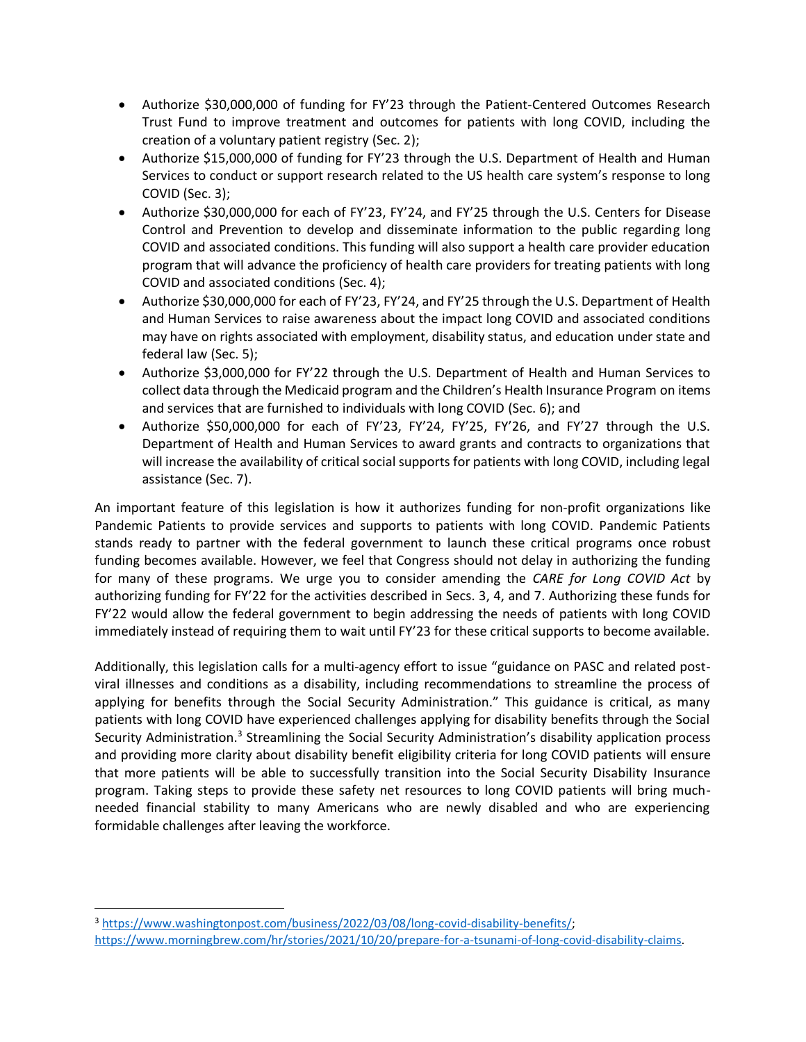- Authorize \$30,000,000 of funding for FY'23 through the Patient-Centered Outcomes Research Trust Fund to improve treatment and outcomes for patients with long COVID, including the creation of a voluntary patient registry (Sec. 2);
- Authorize \$15,000,000 of funding for FY'23 through the U.S. Department of Health and Human Services to conduct or support research related to the US health care system's response to long COVID (Sec. 3);
- Authorize \$30,000,000 for each of FY'23, FY'24, and FY'25 through the U.S. Centers for Disease Control and Prevention to develop and disseminate information to the public regarding long COVID and associated conditions. This funding will also support a health care provider education program that will advance the proficiency of health care providers for treating patients with long COVID and associated conditions (Sec. 4);
- Authorize \$30,000,000 for each of FY'23, FY'24, and FY'25 through the U.S. Department of Health and Human Services to raise awareness about the impact long COVID and associated conditions may have on rights associated with employment, disability status, and education under state and federal law (Sec. 5);
- Authorize \$3,000,000 for FY'22 through the U.S. Department of Health and Human Services to collect data through the Medicaid program and the Children's Health Insurance Program on items and services that are furnished to individuals with long COVID (Sec. 6); and
- Authorize \$50,000,000 for each of FY'23, FY'24, FY'25, FY'26, and FY'27 through the U.S. Department of Health and Human Services to award grants and contracts to organizations that will increase the availability of critical social supports for patients with long COVID, including legal assistance (Sec. 7).

An important feature of this legislation is how it authorizes funding for non-profit organizations like Pandemic Patients to provide services and supports to patients with long COVID. Pandemic Patients stands ready to partner with the federal government to launch these critical programs once robust funding becomes available. However, we feel that Congress should not delay in authorizing the funding for many of these programs. We urge you to consider amending the *CARE for Long COVID Act* by authorizing funding for FY'22 for the activities described in Secs. 3, 4, and 7. Authorizing these funds for FY'22 would allow the federal government to begin addressing the needs of patients with long COVID immediately instead of requiring them to wait until FY'23 for these critical supports to become available.

Additionally, this legislation calls for a multi-agency effort to issue "guidance on PASC and related postviral illnesses and conditions as a disability, including recommendations to streamline the process of applying for benefits through the Social Security Administration." This guidance is critical, as many patients with long COVID have experienced challenges applying for disability benefits through the Social Security Administration.<sup>3</sup> Streamlining the Social Security Administration's disability application process and providing more clarity about disability benefit eligibility criteria for long COVID patients will ensure that more patients will be able to successfully transition into the Social Security Disability Insurance program. Taking steps to provide these safety net resources to long COVID patients will bring muchneeded financial stability to many Americans who are newly disabled and who are experiencing formidable challenges after leaving the workforce.

<sup>3</sup> [https://www.washingtonpost.com/business/2022/03/08/long-covid-disability-benefits/;](https://www.washingtonpost.com/business/2022/03/08/long-covid-disability-benefits/) [https://www.morningbrew.com/hr/stories/2021/10/20/prepare-for-a-tsunami-of-long-covid-disability-claims.](https://www.morningbrew.com/hr/stories/2021/10/20/prepare-for-a-tsunami-of-long-covid-disability-claims)